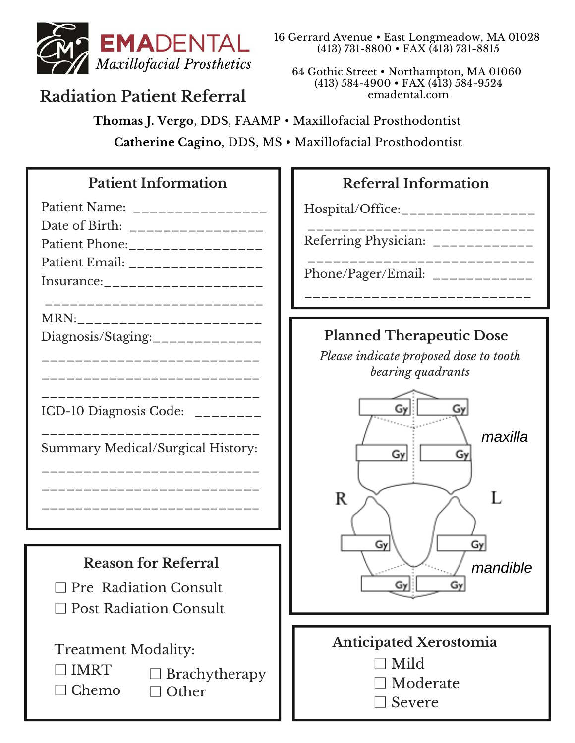

# **Radiation Patient Referral**

16 Gerrard Avenue • East Longmeadow, MA 01028 (413) 731-8800 • FAX (413) 731-8815

64 Gothic Street • Northampton, MA 01060 (413) 584-4900 • FAX (413) 584-9524 emadental.com

**Thomas J. Vergo**, DDS, FAAMP • Maxillofacial Prosthodontist **Catherine Cagino**, DDS, MS • Maxillofacial Prosthodontist

## **Patient Information**

| Patient Name: ________________      |
|-------------------------------------|
| Date of Birth: _________________    |
| Patient Phone:_________________     |
| Patient Email: _________________    |
| Insurance:___________________       |
|                                     |
| MRN:_________________________       |
| Diagnosis/Staging:______________    |
| . _ _ _ _ _ _ _ _ _ _ _ _ _ _ _ _ _ |
| . __ __ __ __ __ __ __ __ __ __ __  |
|                                     |
| ICD-10 Diagnosis Code: ________     |
|                                     |
| Summary Medical/Surgical History:   |
|                                     |
| --------------------                |
| --------------                      |
|                                     |
| <b>Reason for Referral</b>          |

□ Pre Radiation Consult □ Post Radiation Consult

Treatment Modality:

□ IMRT

 $\square$  Brachytherapy

 $\Box$  Chemo □ Other

## **Referral Information**

\_\_\_\_\_\_\_\_\_\_\_\_\_\_\_\_\_\_\_\_\_\_\_\_\_\_\_

Hospital/Office:

Referring Physician: \_\_\_\_\_\_\_\_\_\_\_\_

\_\_\_\_\_\_\_\_\_\_\_\_\_\_\_\_\_\_\_\_\_\_\_\_\_\_\_ Phone/Pager/Email: \_\_\_\_\_\_\_\_\_\_\_\_

## **Planned Therapeutic Dose**

\_\_\_\_\_\_\_\_\_\_\_\_\_\_\_\_\_\_\_\_\_\_\_\_\_\_\_

*Please indicate proposed dose to tooth bearing quadrants*



## **Anticipated Xerostomia**



- □ Moderate
- □ Severe